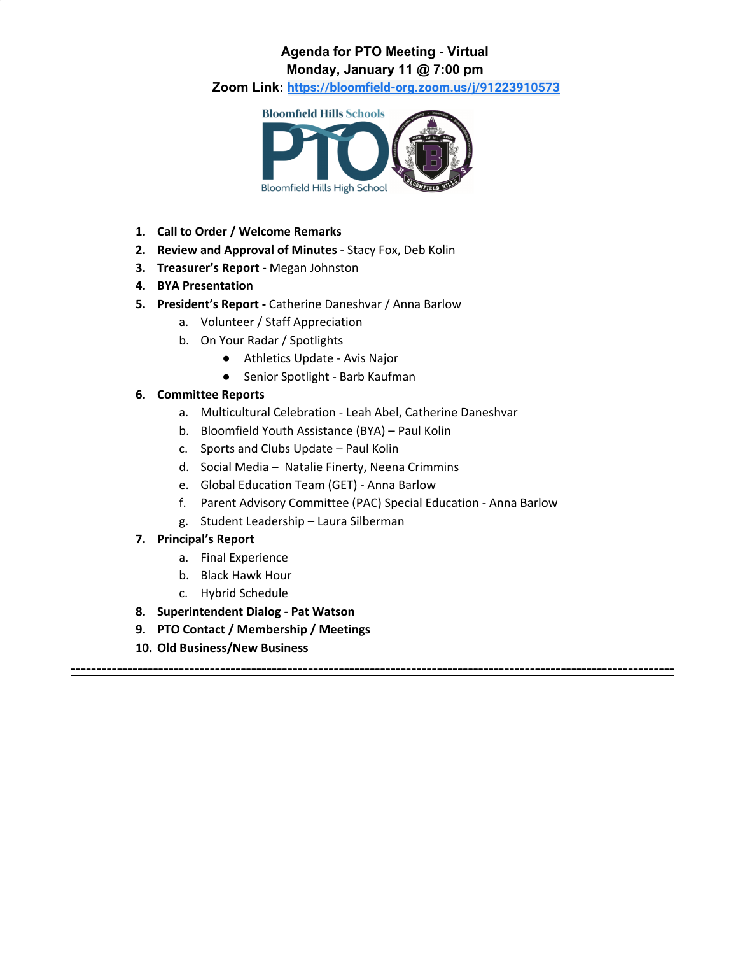### **Agenda for PTO Meeting - Virtual Monday, January 11 @ 7:00 pm**

**Zoom Link: <https://bloomfield-org.zoom.us/j/91223910573>**



- **1. Call to Order / Welcome Remarks**
- **2. Review and Approval of Minutes** Stacy Fox, Deb Kolin
- **3. Treasurer's Report -** Megan Johnston
- **4. BYA Presentation**
- **5. President's Report -** Catherine Daneshvar / Anna Barlow
	- a. Volunteer / Staff Appreciation
	- b. On Your Radar / Spotlights
		- Athletics Update Avis Najor
		- Senior Spotlight Barb Kaufman

#### **6. Committee Reports**

- a. Multicultural Celebration Leah Abel, Catherine Daneshvar
- b. Bloomfield Youth Assistance (BYA) Paul Kolin
- c. Sports and Clubs Update Paul Kolin
- d. Social Media Natalie Finerty, Neena Crimmins
- e. Global Education Team (GET) Anna Barlow
- f. Parent Advisory Committee (PAC) Special Education Anna Barlow

**---------------------------------------------------------------------------------------------------------------------**

g. Student Leadership – Laura Silberman

#### **7. Principal's Report**

- a. Final Experience
- b. Black Hawk Hour
- c. Hybrid Schedule
- **8. Superintendent Dialog - Pat Watson**
- **9. PTO Contact / Membership / Meetings**
- **10. Old Business/New Business**